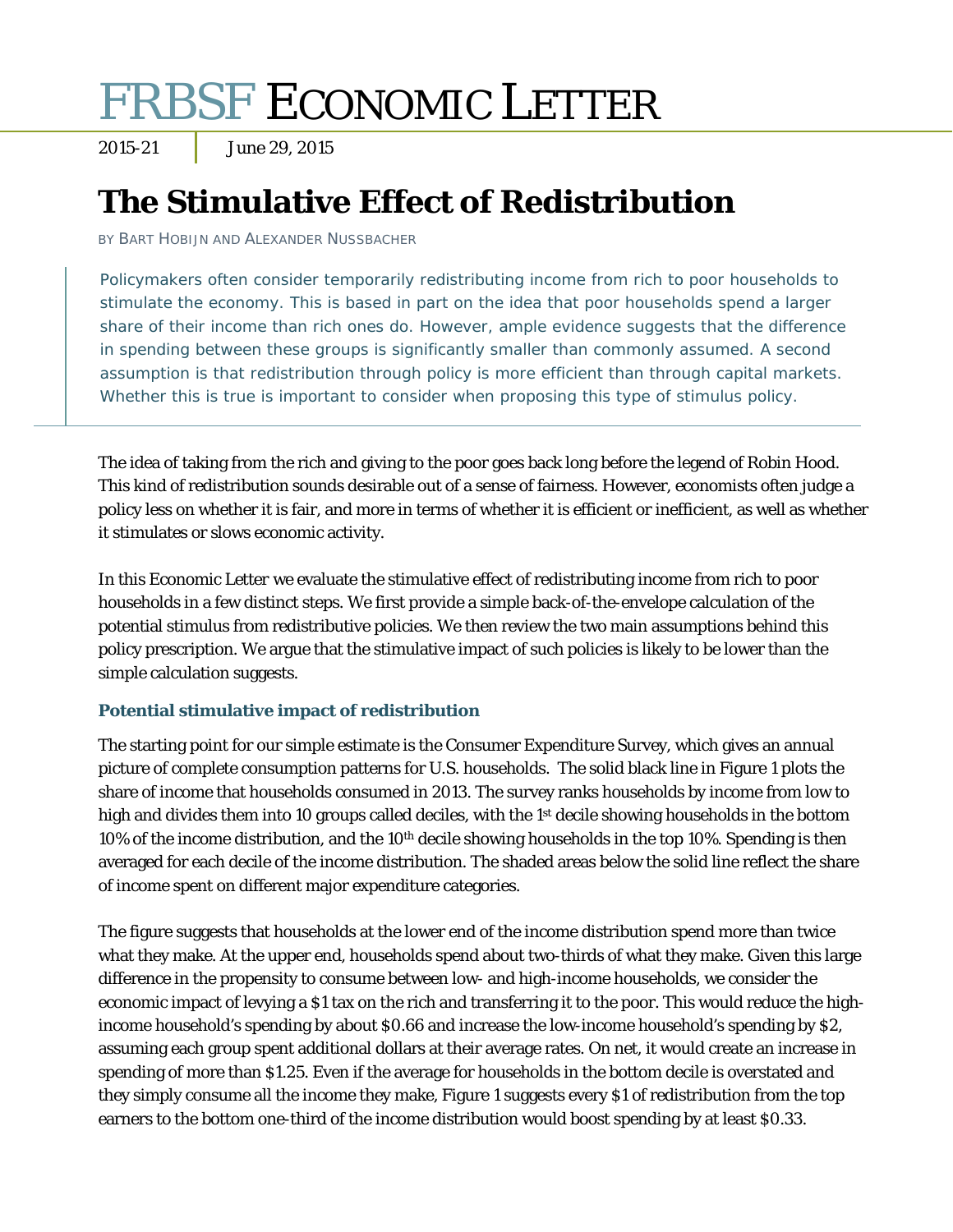# FRBSF ECONOMIC LETTER

2015-21 June 29, 2015

# **The Stimulative Effect of Redistribution**

BY BART HOBIJN AND ALEXANDER NUSSBACHER

Policymakers often consider temporarily redistributing income from rich to poor households to stimulate the economy. This is based in part on the idea that poor households spend a larger share of their income than rich ones do. However, ample evidence suggests that the difference in spending between these groups is significantly smaller than commonly assumed. A second assumption is that redistribution through policy is more efficient than through capital markets. Whether this is true is important to consider when proposing this type of stimulus policy.

The idea of taking from the rich and giving to the poor goes back long before the legend of Robin Hood. This kind of redistribution sounds desirable out of a sense of fairness. However, economists often judge a policy less on whether it is fair, and more in terms of whether it is efficient or inefficient, as well as whether it stimulates or slows economic activity.

In this *Economic Letter* we evaluate the stimulative effect of redistributing income from rich to poor households in a few distinct steps. We first provide a simple back-of-the-envelope calculation of the potential stimulus from redistributive policies. We then review the two main assumptions behind this policy prescription. We argue that the stimulative impact of such policies is likely to be lower than the simple calculation suggests.

# **Potential stimulative impact of redistribution**

The starting point for our simple estimate is the Consumer Expenditure Survey, which gives an annual picture of complete consumption patterns for U.S. households. The solid black line in Figure 1 plots the share of income that households consumed in 2013. The survey ranks households by income from low to high and divides them into 10 groups called deciles, with the 1<sup>st</sup> decile showing households in the bottom 10% of the income distribution, and the 10<sup>th</sup> decile showing households in the top 10%. Spending is then averaged for each decile of the income distribution. The shaded areas below the solid line reflect the share of income spent on different major expenditure categories.

The figure suggests that households at the lower end of the income distribution spend more than twice what they make. At the upper end, households spend about two-thirds of what they make. Given this large difference in the propensity to consume between low- and high-income households, we consider the economic impact of levying a \$1 tax on the rich and transferring it to the poor. This would reduce the highincome household's spending by about \$0.66 and increase the low-income household's spending by \$2, assuming each group spent additional dollars at their average rates. On net, it would create an increase in spending of more than \$1.25. Even if the average for households in the bottom decile is overstated and they simply consume all the income they make, Figure 1 suggests every \$1 of redistribution from the top earners to the bottom one-third of the income distribution would boost spending by at least \$0.33.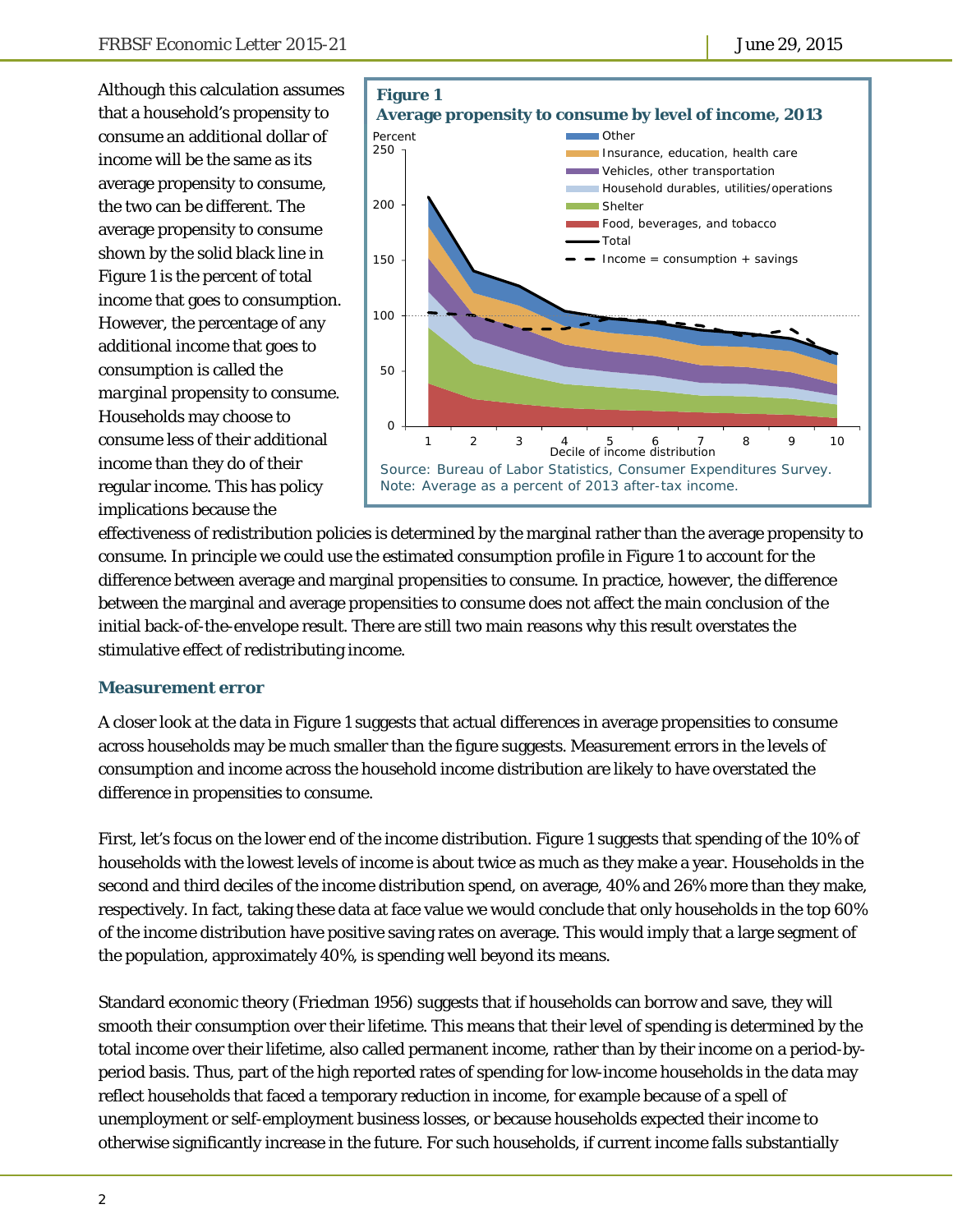Although this calculation assumes that a household's propensity to consume an additional dollar of income will be the same as its average propensity to consume, the two can be different. The average propensity to consume shown by the solid black line in Figure 1 is the percent of total income that goes to consumption. However, the percentage of any additional income that goes to consumption is called the *marginal* propensity to consume. Households may choose to consume less of their additional income than they do of their regular income. This has policy implications because the



effectiveness of redistribution policies is determined by the marginal rather than the average propensity to consume. In principle we could use the estimated consumption profile in Figure 1 to account for the difference between average and marginal propensities to consume. In practice, however, the difference between the marginal and average propensities to consume does not affect the main conclusion of the initial back-of-the-envelope result. There are still two main reasons why this result overstates the stimulative effect of redistributing income.

#### **Measurement error**

A closer look at the data in Figure 1 suggests that actual differences in average propensities to consume across households may be much smaller than the figure suggests. Measurement errors in the levels of consumption and income across the household income distribution are likely to have overstated the difference in propensities to consume.

First, let's focus on the lower end of the income distribution. Figure 1 suggests that spending of the 10% of households with the lowest levels of income is about twice as much as they make a year. Households in the second and third deciles of the income distribution spend, on average, 40% and 26% more than they make, respectively. In fact, taking these data at face value we would conclude that only households in the top 60% of the income distribution have positive saving rates on average. This would imply that a large segment of the population, approximately 40%, is spending well beyond its means.

Standard economic theory (Friedman 1956) suggests that if households can borrow and save, they will smooth their consumption over their lifetime. This means that their level of spending is determined by the total income over their lifetime, also called permanent income, rather than by their income on a period-byperiod basis. Thus, part of the high reported rates of spending for low-income households in the data may reflect households that faced a temporary reduction in income, for example because of a spell of unemployment or self-employment business losses, or because households expected their income to otherwise significantly increase in the future. For such households, if current income falls substantially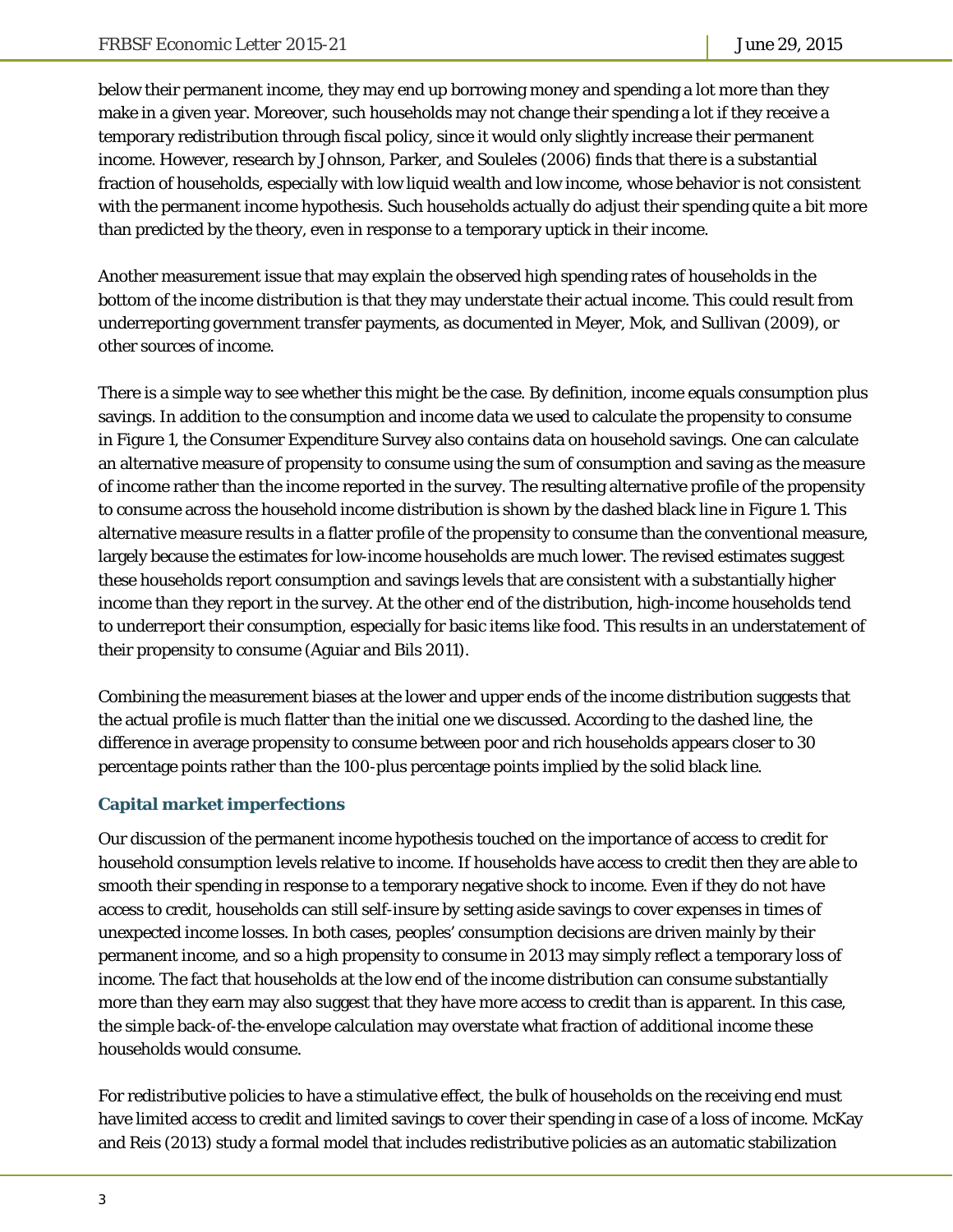below their permanent income, they may end up borrowing money and spending a lot more than they make in a given year. Moreover, such households may not change their spending a lot if they receive a temporary redistribution through fiscal policy, since it would only slightly increase their permanent income. However, research by Johnson, Parker, and Souleles (2006) finds that there is a substantial fraction of households, especially with low liquid wealth and low income, whose behavior is not consistent with the permanent income hypothesis. Such households actually do adjust their spending quite a bit more than predicted by the theory, even in response to a temporary uptick in their income.

Another measurement issue that may explain the observed high spending rates of households in the bottom of the income distribution is that they may understate their actual income. This could result from underreporting government transfer payments, as documented in Meyer, Mok, and Sullivan (2009), or other sources of income.

There is a simple way to see whether this might be the case. By definition, income equals consumption plus savings. In addition to the consumption and income data we used to calculate the propensity to consume in Figure 1, the Consumer Expenditure Survey also contains data on household savings. One can calculate an alternative measure of propensity to consume using the sum of consumption and saving as the measure of income rather than the income reported in the survey. The resulting alternative profile of the propensity to consume across the household income distribution is shown by the dashed black line in Figure 1. This alternative measure results in a flatter profile of the propensity to consume than the conventional measure, largely because the estimates for low-income households are much lower. The revised estimates suggest these households report consumption and savings levels that are consistent with a substantially higher income than they report in the survey. At the other end of the distribution, high-income households tend to underreport their consumption, especially for basic items like food. This results in an understatement of their propensity to consume (Aguiar and Bils 2011).

Combining the measurement biases at the lower and upper ends of the income distribution suggests that the actual profile is much flatter than the initial one we discussed. According to the dashed line, the difference in average propensity to consume between poor and rich households appears closer to 30 percentage points rather than the 100-plus percentage points implied by the solid black line.

## **Capital market imperfections**

Our discussion of the permanent income hypothesis touched on the importance of access to credit for household consumption levels relative to income. If households have access to credit then they are able to smooth their spending in response to a temporary negative shock to income. Even if they do not have access to credit, households can still self-insure by setting aside savings to cover expenses in times of unexpected income losses. In both cases, peoples' consumption decisions are driven mainly by their permanent income, and so a high propensity to consume in 2013 may simply reflect a temporary loss of income. The fact that households at the low end of the income distribution can consume substantially more than they earn may also suggest that they have more access to credit than is apparent. In this case, the simple back-of-the-envelope calculation may overstate what fraction of additional income these households would consume.

For redistributive policies to have a stimulative effect, the bulk of households on the receiving end must have limited access to credit and limited savings to cover their spending in case of a loss of income. McKay and Reis (2013) study a formal model that includes redistributive policies as an automatic stabilization